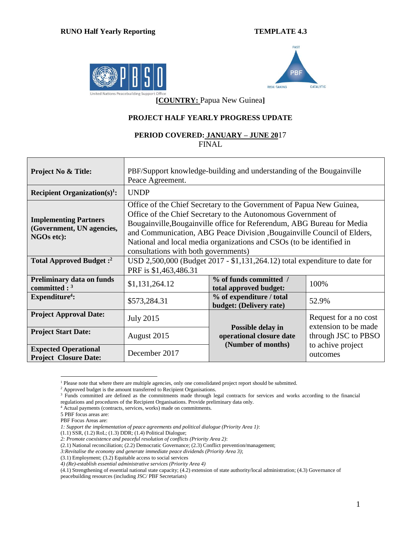



**[COUNTRY:** Papua New Guinea**]**

## **PROJECT HALF YEARLY PROGRESS UPDATE**

## **PERIOD COVERED: JANUARY – JUNE 20**17 FINAL

| <b>Project No &amp; Title:</b>                                                 | PBF/Support knowledge-building and understanding of the Bougainville<br>Peace Agreement.                                                                                                                                                                                                                                                                                                                   |                                                     |                               |  |  |  |  |
|--------------------------------------------------------------------------------|------------------------------------------------------------------------------------------------------------------------------------------------------------------------------------------------------------------------------------------------------------------------------------------------------------------------------------------------------------------------------------------------------------|-----------------------------------------------------|-------------------------------|--|--|--|--|
| Recipient Organization(s) <sup>1</sup> :                                       | <b>UNDP</b>                                                                                                                                                                                                                                                                                                                                                                                                |                                                     |                               |  |  |  |  |
| <b>Implementing Partners</b><br>(Government, UN agencies,<br><b>NGOs etc):</b> | Office of the Chief Secretary to the Government of Papua New Guinea,<br>Office of the Chief Secretary to the Autonomous Government of<br>Bougainville, Bougainville office for Referendum, ABG Bureau for Media<br>and Communication, ABG Peace Division , Bougainville Council of Elders,<br>National and local media organizations and CSOs (to be identified in<br>consultations with both governments) |                                                     |                               |  |  |  |  |
| Total Approved Budget: <sup>2</sup>                                            | USD 2,500,000 (Budget 2017 - \$1,131,264.12) total expenditure to date for<br>PRF is \$1,463,486.31                                                                                                                                                                                                                                                                                                        |                                                     |                               |  |  |  |  |
| <b>Preliminary data on funds</b><br>committed : $3$                            | \$1,131,264.12                                                                                                                                                                                                                                                                                                                                                                                             | % of funds committed /<br>total approved budget:    | 100%                          |  |  |  |  |
| Expenditure <sup>4</sup> :                                                     | \$573,284.31                                                                                                                                                                                                                                                                                                                                                                                               | % of expenditure / total<br>budget: (Delivery rate) | 52.9%                         |  |  |  |  |
| <b>Project Approval Date:</b>                                                  | Request for a no cost<br><b>July 2015</b>                                                                                                                                                                                                                                                                                                                                                                  |                                                     |                               |  |  |  |  |
| <b>Project Start Date:</b>                                                     | extension to be made<br>Possible delay in<br>August 2015<br>through JSC to PBSO<br>operational closure date                                                                                                                                                                                                                                                                                                |                                                     |                               |  |  |  |  |
| <b>Expected Operational</b><br><b>Project Closure Date:</b>                    | December 2017                                                                                                                                                                                                                                                                                                                                                                                              | (Number of months)                                  | to achive project<br>outcomes |  |  |  |  |

 $\overline{a}$ <sup>1</sup> Please note that where there are multiple agencies, only one consolidated project report should be submitted.

- <sup>4</sup> Actual payments (contracts, services, works) made on commitments.
- 5 PBF focus areas are:
- PBF Focus Areas are:

<sup>&</sup>lt;sup>2</sup> Approved budget is the amount transferred to Recipient Organisations.

<sup>&</sup>lt;sup>3</sup> Funds committed are defined as the commitments made through legal contracts for services and works according to the financial regulations and procedures of the Recipient Organisations. Provide preliminary data only.

*<sup>1:</sup> Support the implementation of peace agreements and political dialogue (Priority Area 1)*:

<sup>(1.1)</sup> SSR, (1.2) RoL; (1.3) DDR; (1.4) Political Dialogue;

*<sup>2:</sup> Promote coexistence and peaceful resolution of conflicts (Priority Area 2)*:

<sup>(2.1)</sup> National reconciliation; (2.2) Democratic Governance; (2.3) Conflict prevention/management;

*<sup>3:</sup>Revitalise the economy and generate immediate peace dividends (Priority Area 3)*;

<sup>(3.1)</sup> Employment; (3.2) Equitable access to social services

*<sup>4)</sup> (Re)-establish essential administrative services (Priority Area 4)*

<sup>(4.1)</sup> Strengthening of essential national state capacity; (4.2) extension of state authority/local administration; (4.3) Governance of peacebuilding resources (including JSC/ PBF Secretariats)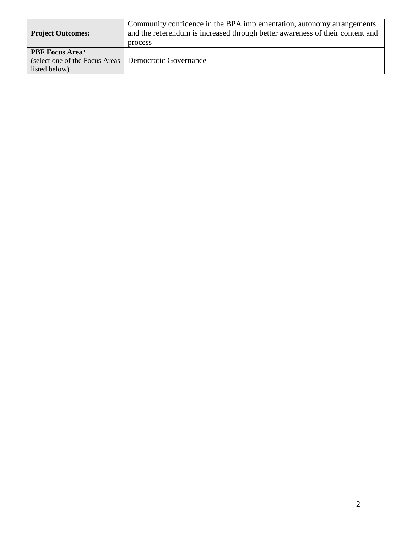| <b>Project Outcomes:</b>                                | Community confidence in the BPA implementation, autonomy arrangements<br>and the referendum is increased through better awareness of their content and<br>process |  |  |  |  |
|---------------------------------------------------------|-------------------------------------------------------------------------------------------------------------------------------------------------------------------|--|--|--|--|
|                                                         |                                                                                                                                                                   |  |  |  |  |
| <b>PBF</b> Focus Area <sup>5</sup>                      |                                                                                                                                                                   |  |  |  |  |
| (select one of the Focus Areas   Democratic Governance) |                                                                                                                                                                   |  |  |  |  |
| listed below)                                           |                                                                                                                                                                   |  |  |  |  |

 $\overline{a}$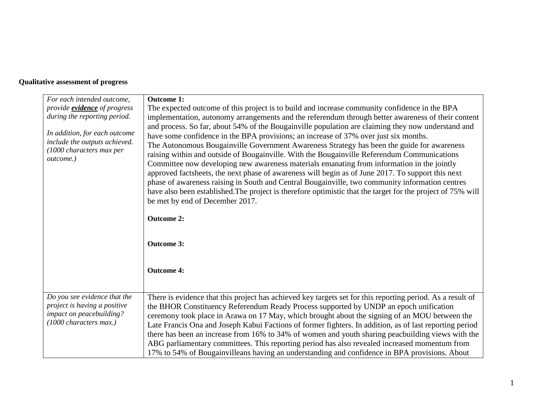## **Qualitative assessment of progress**

| For each intended outcome,                                                                                           | <b>Outcome 1:</b>                                                                                                                                                                                                                                                                                                                                                                                                                                                                                                                                                                                                                                                                                                                                                                                                                                                                                              |
|----------------------------------------------------------------------------------------------------------------------|----------------------------------------------------------------------------------------------------------------------------------------------------------------------------------------------------------------------------------------------------------------------------------------------------------------------------------------------------------------------------------------------------------------------------------------------------------------------------------------------------------------------------------------------------------------------------------------------------------------------------------------------------------------------------------------------------------------------------------------------------------------------------------------------------------------------------------------------------------------------------------------------------------------|
| provide <b>evidence</b> of progress                                                                                  | The expected outcome of this project is to build and increase community confidence in the BPA                                                                                                                                                                                                                                                                                                                                                                                                                                                                                                                                                                                                                                                                                                                                                                                                                  |
| during the reporting period.                                                                                         | implementation, autonomy arrangements and the referendum through better awareness of their content                                                                                                                                                                                                                                                                                                                                                                                                                                                                                                                                                                                                                                                                                                                                                                                                             |
| In addition, for each outcome<br>include the outputs achieved.<br>(1000 characters max per<br>outcome.)              | and process. So far, about 54% of the Bougainville population are claiming they now understand and<br>have some confidence in the BPA provisions; an increase of 37% over just six months.<br>The Autonomous Bougainville Government Awareness Strategy has been the guide for awareness<br>raising within and outside of Bougainville. With the Bougainville Referendum Communications<br>Committee now developing new awareness materials emanating from information in the jointly<br>approved factsheets, the next phase of awareness will begin as of June 2017. To support this next<br>phase of awareness raising in South and Central Bougainville, two community information centres<br>have also been established. The project is therefore optimistic that the target for the project of 75% will<br>be met by end of December 2017.<br><b>Outcome 2:</b><br><b>Outcome 3:</b><br><b>Outcome 4:</b> |
|                                                                                                                      |                                                                                                                                                                                                                                                                                                                                                                                                                                                                                                                                                                                                                                                                                                                                                                                                                                                                                                                |
| Do you see evidence that the<br>project is having a positive<br>impact on peacebuilding?<br>$(1000$ characters max.) | There is evidence that this project has achieved key targets set for this reporting period. As a result of<br>the BHOR Constituency Referendum Ready Process supported by UNDP an epoch unification<br>ceremony took place in Arawa on 17 May, which brought about the signing of an MOU between the<br>Late Francis Ona and Joseph Kabui Factions of former fighters. In addition, as of last reporting period<br>there has been an increase from 16% to 34% of women and youth sharing peacbuilding views with the<br>ABG parliamentary committees. This reporting period has also revealed increased momentum from<br>17% to 54% of Bougainvilleans having an understanding and confidence in BPA provisions. About                                                                                                                                                                                         |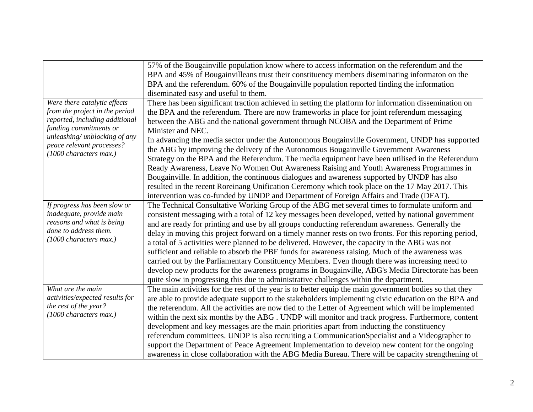|                                 | 57% of the Bougainville population know where to access information on the referendum and the           |
|---------------------------------|---------------------------------------------------------------------------------------------------------|
|                                 | BPA and 45% of Bougainvilleans trust their constituency members diseminating informaton on the          |
|                                 | BPA and the referendum. 60% of the Bougainville population reported finding the information             |
|                                 | diseminated easy and useful to them.                                                                    |
| Were there catalytic effects    | There has been significant traction achieved in setting the platform for information dissemination on   |
| from the project in the period  | the BPA and the referendum. There are now frameworks in place for joint referendum messaging            |
| reported, including additional  | between the ABG and the national government through NCOBA and the Department of Prime                   |
| funding commitments or          | Minister and NEC.                                                                                       |
| unleashing/ unblocking of any   | In advancing the media sector under the Autonomous Bougainville Government, UNDP has supported          |
| peace relevant processes?       | the ABG by improving the delivery of the Autonomous Bougainville Government Awareness                   |
| (1000 characters max.)          | Strategy on the BPA and the Referendum. The media equipment have been utilised in the Referendum        |
|                                 | Ready Awareness, Leave No Women Out Awareness Raising and Youth Awareness Programmes in                 |
|                                 | Bougainville. In addition, the continuous dialogues and awareness supported by UNDP has also            |
|                                 | resulted in the recent Roreinang Unification Ceremony which took place on the 17 May 2017. This         |
|                                 | intervention was co-funded by UNDP and Department of Foreign Affairs and Trade (DFAT).                  |
| If progress has been slow or    | The Technical Consultative Working Group of the ABG met several times to formulate uniform and          |
| inadequate, provide main        | consistent messaging with a total of 12 key messages been developed, vetted by national government      |
| reasons and what is being       | and are ready for printing and use by all groups conducting referendum awareness. Generally the         |
| done to address them.           | delay in moving this project forward on a timely manner rests on two fronts. For this reporting period, |
| (1000 characters max.)          | a total of 5 activities were planned to be delivered. However, the capacity in the ABG was not          |
|                                 | sufficient and reliable to absorb the PBF funds for awareness raising. Much of the awareness was        |
|                                 | carried out by the Parliamentary Constituency Members. Even though there was increasing need to         |
|                                 | develop new products for the awareness programs in Bougainville, ABG's Media Directorate has been       |
|                                 | quite slow in progressing this due to administrative challenges within the department.                  |
| What are the main               | The main activities for the rest of the year is to better equip the main government bodies so that they |
| activities/expected results for | are able to provide adequate support to the stakeholders implementing civic education on the BPA and    |
| the rest of the year?           | the referendum. All the activities are now tied to the Letter of Agreement which will be implemented    |
| (1000 characters max.)          | within the next six months by the ABG. UNDP will monitor and track progress. Furthermore, content       |
|                                 | development and key messages are the main priorities apart from inducting the constituency              |
|                                 | referendum committees. UNDP is also recruiting a CommunicationSpecialist and a Videographer to          |
|                                 | support the Department of Peace Agreement Implementation to develop new content for the ongoing         |
|                                 | awareness in close collaboration with the ABG Media Bureau. There will be capacity strengthening of     |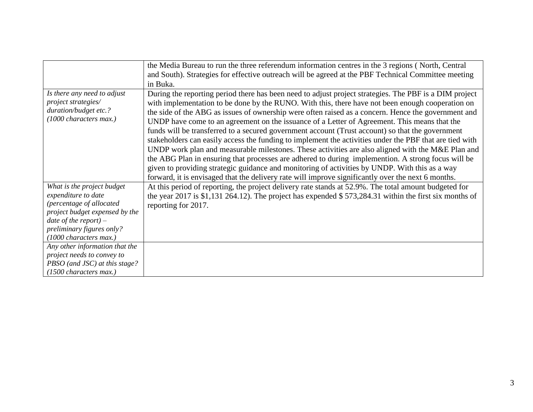|                                                                                                                         | the Media Bureau to run the three referendum information centres in the 3 regions (North, Central                                                                                                                                                                                                                                                                                                                                                                                                                                                                                                                                                                                                                                                                                                                                                                                                                                                                                                                                                   |
|-------------------------------------------------------------------------------------------------------------------------|-----------------------------------------------------------------------------------------------------------------------------------------------------------------------------------------------------------------------------------------------------------------------------------------------------------------------------------------------------------------------------------------------------------------------------------------------------------------------------------------------------------------------------------------------------------------------------------------------------------------------------------------------------------------------------------------------------------------------------------------------------------------------------------------------------------------------------------------------------------------------------------------------------------------------------------------------------------------------------------------------------------------------------------------------------|
|                                                                                                                         | and South). Strategies for effective outreach will be agreed at the PBF Technical Committee meeting                                                                                                                                                                                                                                                                                                                                                                                                                                                                                                                                                                                                                                                                                                                                                                                                                                                                                                                                                 |
|                                                                                                                         | in Buka.                                                                                                                                                                                                                                                                                                                                                                                                                                                                                                                                                                                                                                                                                                                                                                                                                                                                                                                                                                                                                                            |
| Is there any need to adjust<br>project strategies/<br>duration/budget etc.?<br>(1000 characters max.)                   | During the reporting period there has been need to adjust project strategies. The PBF is a DIM project<br>with implementation to be done by the RUNO. With this, there have not been enough cooperation on<br>the side of the ABG as issues of ownership were often raised as a concern. Hence the government and<br>UNDP have come to an agreement on the issuance of a Letter of Agreement. This means that the<br>funds will be transferred to a secured government account (Trust account) so that the government<br>stakeholders can easily access the funding to implement the activities under the PBF that are tied with<br>UNDP work plan and measurable milestones. These activities are also aligned with the M&E Plan and<br>the ABG Plan in ensuring that processes are adhered to during implemention. A strong focus will be<br>given to providing strategic guidance and monitoring of activities by UNDP. With this as a way<br>forward, it is envisaged that the delivery rate will improve significantly over the next 6 months. |
| What is the project budget                                                                                              | At this period of reporting, the project delivery rate stands at 52.9%. The total amount budgeted for                                                                                                                                                                                                                                                                                                                                                                                                                                                                                                                                                                                                                                                                                                                                                                                                                                                                                                                                               |
| expenditure to date                                                                                                     | the year 2017 is \$1,131 264.12). The project has expended \$573,284.31 within the first six months of                                                                                                                                                                                                                                                                                                                                                                                                                                                                                                                                                                                                                                                                                                                                                                                                                                                                                                                                              |
| (percentage of allocated                                                                                                | reporting for 2017.                                                                                                                                                                                                                                                                                                                                                                                                                                                                                                                                                                                                                                                                                                                                                                                                                                                                                                                                                                                                                                 |
| project budget expensed by the<br>date of the report) $-$                                                               |                                                                                                                                                                                                                                                                                                                                                                                                                                                                                                                                                                                                                                                                                                                                                                                                                                                                                                                                                                                                                                                     |
| preliminary figures only?                                                                                               |                                                                                                                                                                                                                                                                                                                                                                                                                                                                                                                                                                                                                                                                                                                                                                                                                                                                                                                                                                                                                                                     |
| (1000 characters max.)                                                                                                  |                                                                                                                                                                                                                                                                                                                                                                                                                                                                                                                                                                                                                                                                                                                                                                                                                                                                                                                                                                                                                                                     |
|                                                                                                                         |                                                                                                                                                                                                                                                                                                                                                                                                                                                                                                                                                                                                                                                                                                                                                                                                                                                                                                                                                                                                                                                     |
|                                                                                                                         |                                                                                                                                                                                                                                                                                                                                                                                                                                                                                                                                                                                                                                                                                                                                                                                                                                                                                                                                                                                                                                                     |
|                                                                                                                         |                                                                                                                                                                                                                                                                                                                                                                                                                                                                                                                                                                                                                                                                                                                                                                                                                                                                                                                                                                                                                                                     |
|                                                                                                                         |                                                                                                                                                                                                                                                                                                                                                                                                                                                                                                                                                                                                                                                                                                                                                                                                                                                                                                                                                                                                                                                     |
| Any other information that the<br>project needs to convey to<br>PBSO (and JSC) at this stage?<br>(1500 characters max.) |                                                                                                                                                                                                                                                                                                                                                                                                                                                                                                                                                                                                                                                                                                                                                                                                                                                                                                                                                                                                                                                     |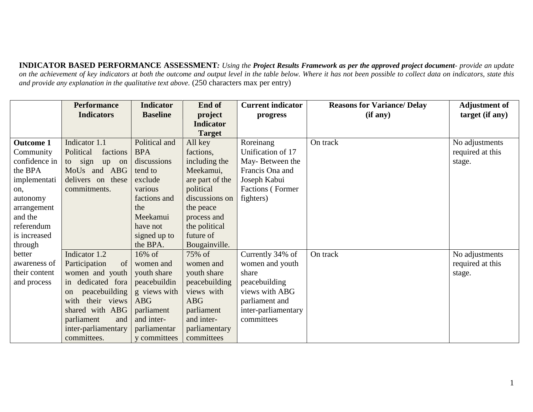**INDICATOR BASED PERFORMANCE ASSESSMENT***: Using the Project Results Framework as per the approved project document- provide an update*  on the achievement of key indicators at both the outcome and output level in the table below. Where it has not been possible to collect data on indicators, state this *and provide any explanation in the qualitative text above.* (250 characters max per entry)

|                  | <b>Performance</b>             | <b>Indicator</b> | End of           | <b>Current indicator</b> | <b>Reasons for Variance/ Delay</b> | <b>Adjustment of</b> |
|------------------|--------------------------------|------------------|------------------|--------------------------|------------------------------------|----------------------|
|                  | <b>Indicators</b>              | <b>Baseline</b>  | project          | progress                 | (if any)                           | target (if any)      |
|                  |                                |                  | <b>Indicator</b> |                          |                                    |                      |
|                  |                                |                  | <b>Target</b>    |                          |                                    |                      |
| <b>Outcome 1</b> | Indicator 1.1                  | Political and    | All key          | Roreinang                | On track                           | No adjustments       |
| Community        | Political<br>factions          | <b>BPA</b>       | factions,        | Unification of 17        |                                    | required at this     |
| confidence in    | sign<br>to<br>up<br>on         | discussions      | including the    | May-Between the          |                                    | stage.               |
| the BPA          | MoUs and ABG                   | tend to          | Meekamui,        | Francis Ona and          |                                    |                      |
| implementati     | delivers on these              | exclude          | are part of the  | Joseph Kabui             |                                    |                      |
| on.              | commitments.                   | various          | political        | Factions (Former         |                                    |                      |
| autonomy         |                                | factions and     | discussions on   | fighters)                |                                    |                      |
| arrangement      |                                | the              | the peace        |                          |                                    |                      |
| and the          |                                | Meekamui         | process and      |                          |                                    |                      |
| referendum       |                                | have not         | the political    |                          |                                    |                      |
| is increased     |                                | signed up to     | future of        |                          |                                    |                      |
| through          |                                | the BPA.         | Bougainville.    |                          |                                    |                      |
| better           | Indicator 1.2                  | 16% of           | 75% of           | Currently 34% of         | On track                           | No adjustments       |
| awareness of     | Participation<br>of            | women and        | women and        | women and youth          |                                    | required at this     |
| their content    | women and youth                | youth share      | youth share      | share                    |                                    | stage.               |
| and process      | in dedicated fora              | peacebuildin     | peacebuilding    | peacebuilding            |                                    |                      |
|                  | peacebuilding<br><sub>on</sub> | g views with     | views with       | views with ABG           |                                    |                      |
|                  | with<br>their views            | <b>ABG</b>       | <b>ABG</b>       | parliament and           |                                    |                      |
|                  | shared with ABG                | parliament       | parliament       | inter-parliamentary      |                                    |                      |
|                  | parliament<br>and              | and inter-       | and inter-       | committees               |                                    |                      |
|                  | inter-parliamentary            | parliamentar     | parliamentary    |                          |                                    |                      |
|                  | committees.                    | y committees     | committees       |                          |                                    |                      |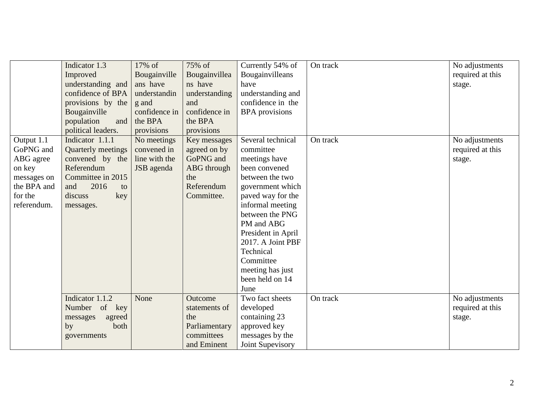|                                                                                                        | Indicator 1.3<br>Improved<br>understanding and<br>confidence of BPA<br>provisions by the<br>Bougainville<br>population<br>and<br>political leaders. | 17% of<br>Bougainville<br>ans have<br>understandin<br>g and<br>confidence in<br>the BPA<br>provisions | 75% of<br>Bougainvillea<br>ns have<br>understanding<br>and<br>confidence in<br>the BPA<br>provisions | Currently 54% of<br>Bougainvilleans<br>have<br>understanding and<br>confidence in the<br><b>BPA</b> provisions                                                                                                                                                                                        | On track | No adjustments<br>required at this<br>stage. |
|--------------------------------------------------------------------------------------------------------|-----------------------------------------------------------------------------------------------------------------------------------------------------|-------------------------------------------------------------------------------------------------------|------------------------------------------------------------------------------------------------------|-------------------------------------------------------------------------------------------------------------------------------------------------------------------------------------------------------------------------------------------------------------------------------------------------------|----------|----------------------------------------------|
| Output 1.1<br>GoPNG and<br>ABG agree<br>on key<br>messages on<br>the BPA and<br>for the<br>referendum. | Indicator 1.1.1<br>Quarterly meetings<br>convened by the<br>Referendum<br>Committee in 2015<br>2016<br>and<br>to<br>discuss<br>key<br>messages.     | No meetings<br>convened in<br>line with the<br>JSB agenda                                             | Key messages<br>agreed on by<br>GoPNG and<br><b>ABG</b> through<br>the<br>Referendum<br>Committee.   | Several technical<br>committee<br>meetings have<br>been convened<br>between the two<br>government which<br>paved way for the<br>informal meeting<br>between the PNG<br>PM and ABG<br>President in April<br>2017. A Joint PBF<br>Technical<br>Committee<br>meeting has just<br>been held on 14<br>June | On track | No adjustments<br>required at this<br>stage. |
|                                                                                                        | Indicator 1.1.2<br>Number<br>of key<br>agreed<br>messages<br>both<br>by<br>governments                                                              | None                                                                                                  | Outcome<br>statements of<br>the<br>Parliamentary<br>committees<br>and Eminent                        | Two fact sheets<br>developed<br>containing 23<br>approved key<br>messages by the<br>Joint Supevisory                                                                                                                                                                                                  | On track | No adjustments<br>required at this<br>stage. |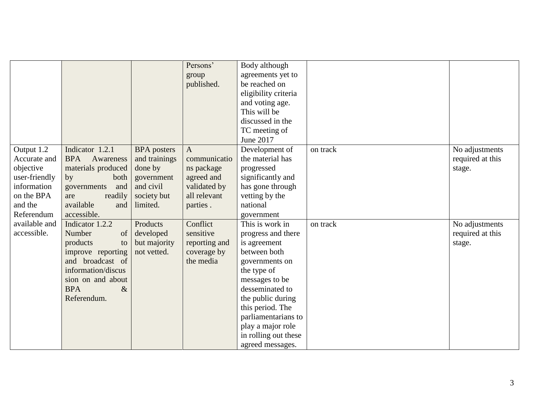|               |                         |                    | Persons'      | Body although        |          |                  |
|---------------|-------------------------|--------------------|---------------|----------------------|----------|------------------|
|               |                         |                    | group         | agreements yet to    |          |                  |
|               |                         |                    | published.    | be reached on        |          |                  |
|               |                         |                    |               | eligibility criteria |          |                  |
|               |                         |                    |               | and voting age.      |          |                  |
|               |                         |                    |               | This will be         |          |                  |
|               |                         |                    |               | discussed in the     |          |                  |
|               |                         |                    |               | TC meeting of        |          |                  |
|               |                         |                    |               | June 2017            |          |                  |
| Output 1.2    | Indicator 1.2.1         | <b>BPA</b> posters | $\mathbf{A}$  | Development of       | on track | No adjustments   |
| Accurate and  | <b>BPA</b><br>Awareness | and trainings      | communicatio  | the material has     |          | required at this |
| objective     | materials produced      | done by            | ns package    | progressed           |          | stage.           |
| user-friendly | both<br>by              | government         | agreed and    | significantly and    |          |                  |
| information   | and<br>governments      | and civil          | validated by  | has gone through     |          |                  |
| on the BPA    | readily<br>are          | society but        | all relevant  | vetting by the       |          |                  |
| and the       | available<br>and        | limited.           | parties.      | national             |          |                  |
| Referendum    | accessible.             |                    |               | government           |          |                  |
| available and | Indicator 1.2.2         | Products           | Conflict      | This is work in      | on track | No adjustments   |
| accessible.   | Number<br>of            | developed          | sensitive     | progress and there   |          | required at this |
|               | products<br>to          | but majority       | reporting and | is agreement         |          | stage.           |
|               | improve reporting       | not vetted.        | coverage by   | between both         |          |                  |
|               | and broadcast of        |                    | the media     | governments on       |          |                  |
|               | information/discus      |                    |               | the type of          |          |                  |
|               | sion on and about       |                    |               | messages to be       |          |                  |
|               | <b>BPA</b><br>$\&$      |                    |               | desseminated to      |          |                  |
|               | Referendum.             |                    |               | the public during    |          |                  |
|               |                         |                    |               | this period. The     |          |                  |
|               |                         |                    |               | parliamentarians to  |          |                  |
|               |                         |                    |               | play a major role    |          |                  |
|               |                         |                    |               | in rolling out these |          |                  |
|               |                         |                    |               | agreed messages.     |          |                  |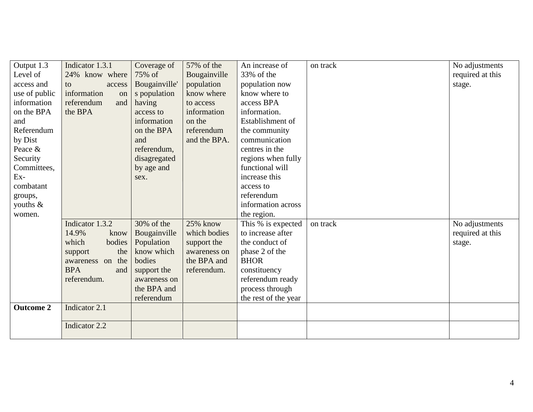| Output 1.3       | Indicator 1.3.1   | Coverage of   | 57% of the   | An increase of       | on track | No adjustments   |
|------------------|-------------------|---------------|--------------|----------------------|----------|------------------|
| Level of         | 24% know where    | 75% of        | Bougainville | 33% of the           |          | required at this |
| access and       | to<br>access      | Bougainville' | population   | population now       |          | stage.           |
| use of public    | information<br>on | s population  | know where   | know where to        |          |                  |
| information      | referendum<br>and | having        | to access    | access BPA           |          |                  |
| on the BPA       | the BPA           | access to     | information  | information.         |          |                  |
| and              |                   | information   | on the       | Establishment of     |          |                  |
| Referendum       |                   | on the BPA    | referendum   | the community        |          |                  |
| by Dist          |                   | and           | and the BPA. | communication        |          |                  |
| Peace &          |                   | referendum,   |              | centres in the       |          |                  |
| Security         |                   | disagregated  |              | regions when fully   |          |                  |
| Committees,      |                   | by age and    |              | functional will      |          |                  |
| $Ex-$            |                   | sex.          |              | increase this        |          |                  |
| combatant        |                   |               |              | access to            |          |                  |
| groups,          |                   |               |              | referendum           |          |                  |
| youths $\&$      |                   |               |              | information across   |          |                  |
| women.           |                   |               |              | the region.          |          |                  |
|                  | Indicator 1.3.2   | $30\%$ of the | 25% know     | This % is expected   | on track | No adjustments   |
|                  | 14.9%<br>know     | Bougainville  | which bodies | to increase after    |          | required at this |
|                  | which<br>bodies   | Population    | support the  | the conduct of       |          | stage.           |
|                  | the<br>support    | know which    | awareness on | phase 2 of the       |          |                  |
|                  | awareness on the  | bodies        | the BPA and  | <b>BHOR</b>          |          |                  |
|                  | <b>BPA</b><br>and | support the   | referendum.  | constituency         |          |                  |
|                  | referendum.       | awareness on  |              | referendum ready     |          |                  |
|                  |                   | the BPA and   |              | process through      |          |                  |
|                  |                   | referendum    |              | the rest of the year |          |                  |
| <b>Outcome 2</b> | Indicator 2.1     |               |              |                      |          |                  |
|                  |                   |               |              |                      |          |                  |
|                  | Indicator 2.2     |               |              |                      |          |                  |
|                  |                   |               |              |                      |          |                  |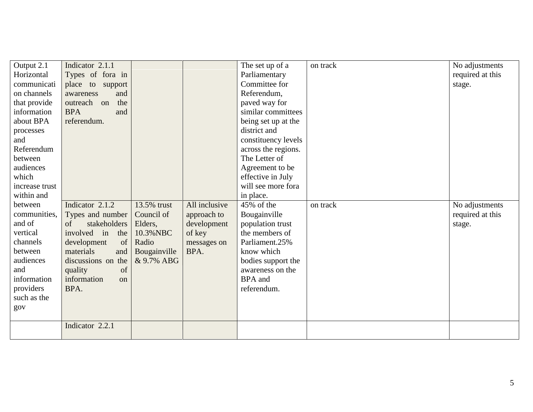| Output 2.1     | Indicator 2.1.1    |              |               | The set up of a     | on track | No adjustments   |
|----------------|--------------------|--------------|---------------|---------------------|----------|------------------|
| Horizontal     | Types of fora in   |              |               | Parliamentary       |          | required at this |
| communicati    | place to support   |              |               | Committee for       |          | stage.           |
| on channels    | awareness<br>and   |              |               | Referendum,         |          |                  |
| that provide   | outreach on<br>the |              |               | paved way for       |          |                  |
| information    | <b>BPA</b><br>and  |              |               | similar committees  |          |                  |
| about BPA      | referendum.        |              |               | being set up at the |          |                  |
| processes      |                    |              |               | district and        |          |                  |
| and            |                    |              |               | constituency levels |          |                  |
| Referendum     |                    |              |               | across the regions. |          |                  |
| between        |                    |              |               | The Letter of       |          |                  |
| audiences      |                    |              |               | Agreement to be     |          |                  |
| which          |                    |              |               | effective in July   |          |                  |
| increase trust |                    |              |               | will see more fora  |          |                  |
| within and     |                    |              |               | in place.           |          |                  |
| between        | Indicator 2.1.2    | 13.5% trust  | All inclusive | 45% of the          | on track | No adjustments   |
| communities,   | Types and number   | Council of   | approach to   | Bougainville        |          | required at this |
| and of         | stakeholders<br>of | Elders,      | development   | population trust    |          | stage.           |
| vertical       | involved in<br>the | 10.3% NBC    | of key        | the members of      |          |                  |
| channels       | of<br>development  | Radio        | messages on   | Parliament.25%      |          |                  |
| between        | materials<br>and   | Bougainville | BPA.          | know which          |          |                  |
| audiences      | discussions on the | & 9.7% ABG   |               | bodies support the  |          |                  |
| and            | quality<br>of      |              |               | awareness on the    |          |                  |
| information    | information<br>on  |              |               | <b>BPA</b> and      |          |                  |
| providers      | BPA.               |              |               | referendum.         |          |                  |
| such as the    |                    |              |               |                     |          |                  |
| gov            |                    |              |               |                     |          |                  |
|                |                    |              |               |                     |          |                  |
|                |                    |              |               |                     |          |                  |
|                | Indicator 2.2.1    |              |               |                     |          |                  |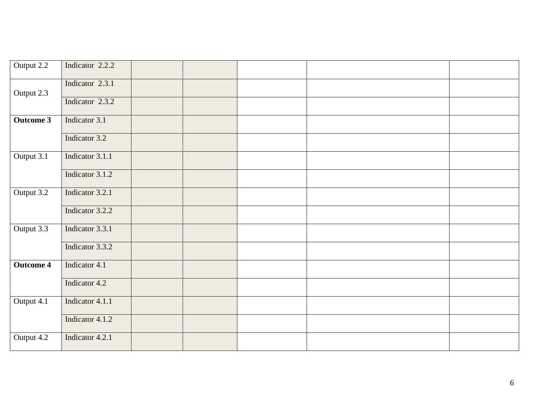| Output 2.2       | Indicator 2.2.2 |  |  |  |
|------------------|-----------------|--|--|--|
| Output 2.3       | Indicator 2.3.1 |  |  |  |
|                  | Indicator 2.3.2 |  |  |  |
| <b>Outcome 3</b> | Indicator 3.1   |  |  |  |
|                  | Indicator 3.2   |  |  |  |
| Output 3.1       | Indicator 3.1.1 |  |  |  |
|                  | Indicator 3.1.2 |  |  |  |
| Output 3.2       | Indicator 3.2.1 |  |  |  |
|                  | Indicator 3.2.2 |  |  |  |
| Output 3.3       | Indicator 3.3.1 |  |  |  |
|                  | Indicator 3.3.2 |  |  |  |
| <b>Outcome 4</b> | Indicator 4.1   |  |  |  |
|                  | Indicator 4.2   |  |  |  |
| Output 4.1       | Indicator 4.1.1 |  |  |  |
|                  | Indicator 4.1.2 |  |  |  |
| Output $4.2$     | Indicator 4.2.1 |  |  |  |